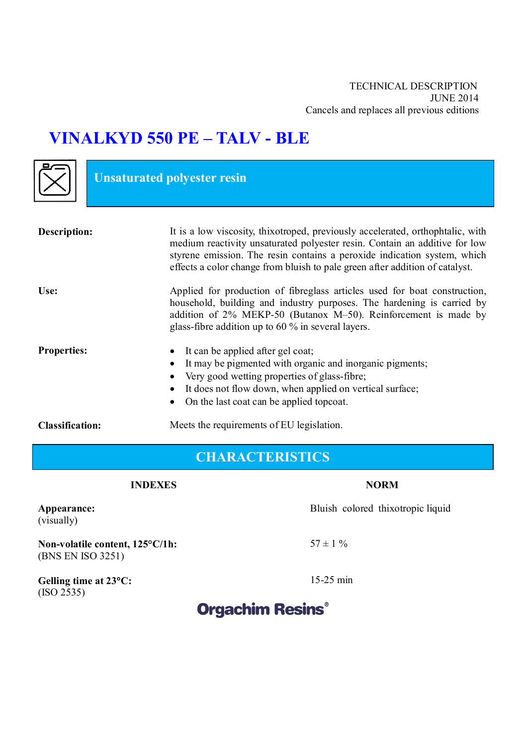# **VINALKYD 550 PE – TALV - BLE**

**Unsaturated polyester resin** 

| <b>Description:</b>    | It is a low viscosity, thixotroped, previously accelerated, orthophtalic, with<br>medium reactivity unsaturated polyester resin. Contain an additive for low<br>styrene emission. The resin contains a peroxide indication system, which<br>effects a color change from bluish to pale green after addition of catalyst. |
|------------------------|--------------------------------------------------------------------------------------------------------------------------------------------------------------------------------------------------------------------------------------------------------------------------------------------------------------------------|
| Use:                   | Applied for production of fibreglass articles used for boat construction,<br>household, building and industry purposes. The hardening is carried by<br>addition of 2% MEKP-50 (Butanox M-50). Reinforcement is made by<br>glass-fibre addition up to $60\%$ in several layers.                                           |
| <b>Properties:</b>     | It can be applied after gel coat;<br>$\bullet$<br>It may be pigmented with organic and inorganic pigments;<br>$\bullet$<br>Very good wetting properties of glass-fibre;<br>$\bullet$<br>It does not flow down, when applied on vertical surface;<br>$\bullet$<br>On the last coat can be applied topcoat.<br>$\bullet$   |
| <b>Classification:</b> | Meets the requirements of EU legislation.                                                                                                                                                                                                                                                                                |

## **CHARACTERISTICS**

### **INDEXES** NORM

Bluish colored thixotropic liquid

 $57 \pm 1 \%$ 

15-25 min

**Appearance:**  (visually)

**Non-volatile content, 125°С/1h:** (BNS EN ISO 3251)

**Gelling time at 23С:**  $(ISO 2535)$ 

## **Orgachim Resins®**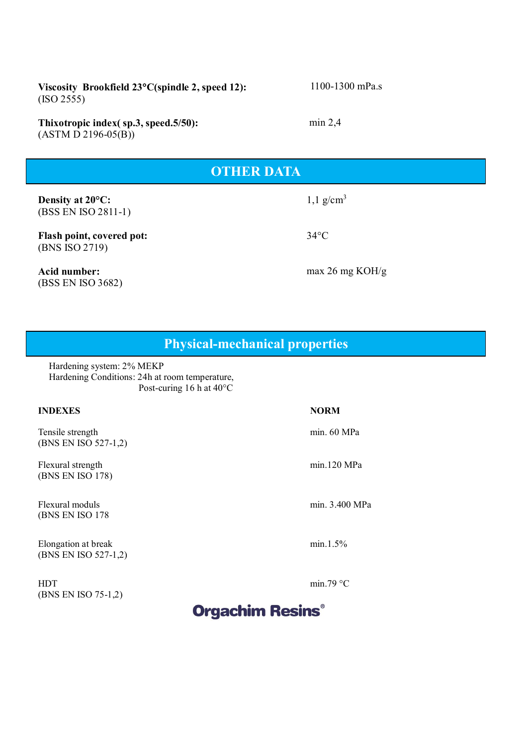**Viscosity Brookfield 23С(spindle 2, speed 12):** (ISO 2555)

**Thixotropic index( sp.3, speed.5/50):** (ASTM D 2196-05(B))

### **OTHER DATA**

**ХАРАКТЕРИСТИКА**

**Density at 20°C:** (BSS EN ISO 2811-1)

**Flash point, covered pot:** (BNS ISO 2719)

**Acid number:** (BSS EN ISO 3682)  $1,1 \text{ g/cm}^3$ 

34°C

max 26 mg KOH/g

**Physical-mechanical properties**

Hardening system: 2% MEKP Hardening Conditions: 24h at room temperature, Post-curing 16 h at 40°C

#### **INDEXES NORM**

Tensile strength (BNS EN ISO 527-1,2)

Flexural strength (BNS EN ISO 178)

Flexural moduls (BNS EN ISO 178

Elongation at break (BNS EN ISO 527-1,2)

HDT (BNS EN ISO 75-1,2)

min. 60 MPa

min.120 MPa

min. 3.400 MPa

min.1.5%

min.79 $\degree$ C

# **Orgachim Resins®**

1100-1300 mPa.s

min 2,4